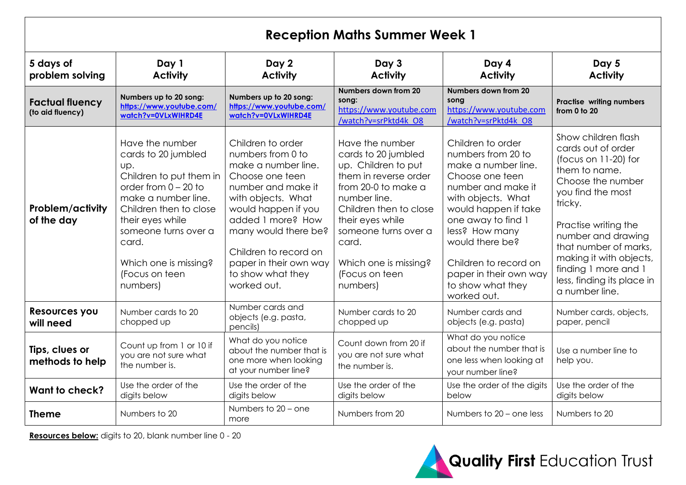| <b>Reception Maths Summer Week 1</b>       |                                                                                                                                                                                                                                                                 |                                                                                                                                                                                                                                                                                         |                                                                                                                                                                                                                                                                     |                                                                                                                                                                                                                                                                                                         |                                                                                                                                                                                                                                                                                                                   |
|--------------------------------------------|-----------------------------------------------------------------------------------------------------------------------------------------------------------------------------------------------------------------------------------------------------------------|-----------------------------------------------------------------------------------------------------------------------------------------------------------------------------------------------------------------------------------------------------------------------------------------|---------------------------------------------------------------------------------------------------------------------------------------------------------------------------------------------------------------------------------------------------------------------|---------------------------------------------------------------------------------------------------------------------------------------------------------------------------------------------------------------------------------------------------------------------------------------------------------|-------------------------------------------------------------------------------------------------------------------------------------------------------------------------------------------------------------------------------------------------------------------------------------------------------------------|
| 5 days of<br>problem solving               | Day 1<br><b>Activity</b>                                                                                                                                                                                                                                        | Day 2<br><b>Activity</b>                                                                                                                                                                                                                                                                | Day 3<br><b>Activity</b>                                                                                                                                                                                                                                            | Day 4<br><b>Activity</b>                                                                                                                                                                                                                                                                                | Day 5<br><b>Activity</b>                                                                                                                                                                                                                                                                                          |
| <b>Factual fluency</b><br>(to aid fluency) | Numbers up to 20 song:<br>https://www.youtube.com/<br>watch?v=0VLxWIHRD4E                                                                                                                                                                                       | Numbers up to 20 song:<br>https://www.youtube.com/<br>watch?v=0VLxWIHRD4E                                                                                                                                                                                                               | Numbers down from 20<br>song:<br>https://www.youtube.com<br>/watch?v=srPktd4k O8                                                                                                                                                                                    | Numbers down from 20<br>song<br>https://www.youtube.com<br>/watch?v=srPktd4k O8                                                                                                                                                                                                                         | <b>Practise writing numbers</b><br>from $0$ to $20$                                                                                                                                                                                                                                                               |
| <b>Problem/activity</b><br>of the day      | Have the number<br>cards to 20 jumbled<br>Up.<br>Children to put them in<br>order from $0 - 20$ to<br>make a number line.<br>Children then to close<br>their eyes while<br>someone turns over a<br>card.<br>Which one is missing?<br>(Focus on teen<br>numbers) | Children to order<br>numbers from 0 to<br>make a number line.<br>Choose one teen<br>number and make it<br>with objects. What<br>would happen if you<br>added I more? How<br>many would there be?<br>Children to record on<br>paper in their own way<br>to show what they<br>worked out. | Have the number<br>cards to 20 jumbled<br>up. Children to put<br>them in reverse order<br>from 20-0 to make a<br>number line.<br>Children then to close<br>their eyes while<br>someone turns over a<br>card.<br>Which one is missing?<br>(Focus on teen<br>numbers) | Children to order<br>numbers from 20 to<br>make a number line.<br>Choose one teen<br>number and make it<br>with objects. What<br>would happen if take<br>one away to find 1<br>less? How many<br>would there be?<br>Children to record on<br>paper in their own way<br>to show what they<br>worked out. | Show children flash<br>cards out of order<br>(focus on 11-20) for<br>them to name.<br>Choose the number<br>you find the most<br>tricky.<br>Practise writing the<br>number and drawing<br>that number of marks,<br>making it with objects,<br>finding 1 more and 1<br>less, finding its place in<br>a number line. |
| <b>Resources you</b><br>will need          | Number cards to 20<br>chopped up                                                                                                                                                                                                                                | Number cards and<br>objects (e.g. pasta,<br>pencils)                                                                                                                                                                                                                                    | Number cards to 20<br>chopped up                                                                                                                                                                                                                                    | Number cards and<br>objects (e.g. pasta)                                                                                                                                                                                                                                                                | Number cards, objects,<br>paper, pencil                                                                                                                                                                                                                                                                           |
| Tips, clues or<br>methods to help          | Count up from 1 or 10 if<br>you are not sure what<br>the number is.                                                                                                                                                                                             | What do you notice<br>about the number that is<br>one more when looking<br>at your number line?                                                                                                                                                                                         | Count down from 20 if<br>you are not sure what<br>the number is.                                                                                                                                                                                                    | What do you notice<br>about the number that is<br>one less when looking at<br>your number line?                                                                                                                                                                                                         | Use a number line to<br>help you.                                                                                                                                                                                                                                                                                 |
| <b>Want to check?</b>                      | Use the order of the<br>digits below                                                                                                                                                                                                                            | Use the order of the<br>digits below                                                                                                                                                                                                                                                    | Use the order of the<br>digits below                                                                                                                                                                                                                                | Use the order of the digits<br>below                                                                                                                                                                                                                                                                    | Use the order of the<br>digits below                                                                                                                                                                                                                                                                              |
| <b>Theme</b>                               | Numbers to 20                                                                                                                                                                                                                                                   | Numbers to 20 - one<br>more                                                                                                                                                                                                                                                             | Numbers from 20                                                                                                                                                                                                                                                     | Numbers to 20 - one less                                                                                                                                                                                                                                                                                | Numbers to 20                                                                                                                                                                                                                                                                                                     |

**Resources below:** digits to 20, blank number line 0 - 20